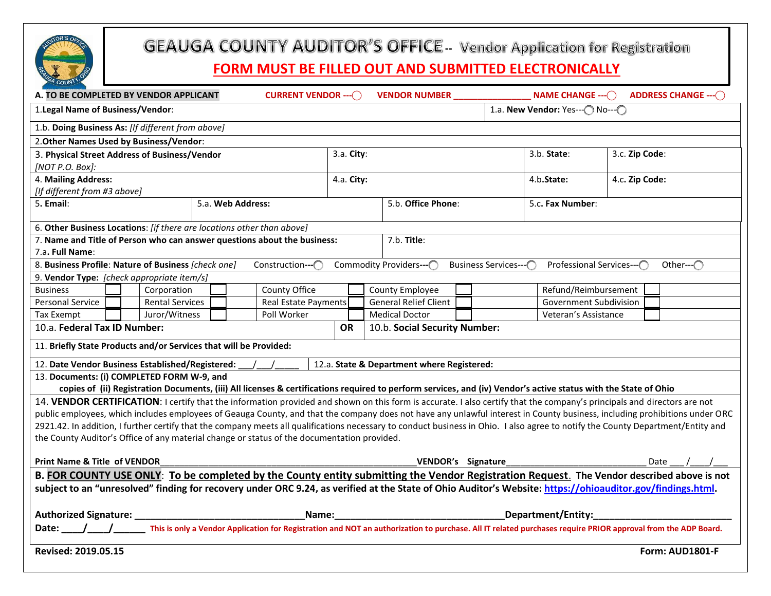

# **GEAUGA COUNTY AUDITOR'S OFFICE - Vendor Application for Registration**

## **FORM MUST BE FILLED OUT AND SUBMITTED ELECTRONICALLY**

| COUN'<br>A. TO BE COMPLETED BY VENDOR APPLICANT                                                                                                                                         | <b>CURRENT VENDOR --- ()</b> |                    | <b>VENDOR NUMBER</b>                                   |  |                                     | NAME CHANGE $- \bigcirc$      |                | <b>ADDRESS CHANGE --- ()</b> |  |
|-----------------------------------------------------------------------------------------------------------------------------------------------------------------------------------------|------------------------------|--------------------|--------------------------------------------------------|--|-------------------------------------|-------------------------------|----------------|------------------------------|--|
| 1. Legal Name of Business/Vendor:                                                                                                                                                       |                              |                    |                                                        |  | 1.a. New Vendor: Yes--- ( No--- ( ) |                               |                |                              |  |
| 1.b. Doing Business As: [If different from above]                                                                                                                                       |                              |                    |                                                        |  |                                     |                               |                |                              |  |
| 2. Other Names Used by Business/Vendor:                                                                                                                                                 |                              |                    |                                                        |  |                                     |                               |                |                              |  |
| 3. Physical Street Address of Business/Vendor                                                                                                                                           |                              |                    | 3.a. City:                                             |  |                                     | 3.b. State:<br>3.c. Zip Code: |                |                              |  |
| [NOT P.O. Box]:                                                                                                                                                                         |                              |                    |                                                        |  |                                     |                               |                |                              |  |
| 4. Mailing Address:                                                                                                                                                                     |                              |                    | 4.a. City:                                             |  |                                     | 4.b.State:                    | 4.c. Zip Code: |                              |  |
| [If different from #3 above]                                                                                                                                                            |                              |                    |                                                        |  |                                     |                               |                |                              |  |
| 5. Email:<br>5.a. Web Address:                                                                                                                                                          |                              | 5.b. Office Phone: |                                                        |  |                                     | 5.c. Fax Number:              |                |                              |  |
| 6. Other Business Locations: [if there are locations other than above]                                                                                                                  |                              |                    |                                                        |  |                                     |                               |                |                              |  |
| 7. Name and Title of Person who can answer questions about the business:<br>7.b. Title:                                                                                                 |                              |                    |                                                        |  |                                     |                               |                |                              |  |
| 7.a. Full Name:                                                                                                                                                                         |                              |                    |                                                        |  |                                     |                               |                |                              |  |
| 8. Business Profile: Nature of Business [check one]<br>Construction---(<br>Commodity Providers--- C<br><b>Business Services--</b><br>Professional Services--- C<br>Other-- $\bigcap$    |                              |                    |                                                        |  |                                     |                               |                |                              |  |
| 9. Vendor Type: [check appropriate item/s]                                                                                                                                              |                              |                    |                                                        |  |                                     |                               |                |                              |  |
| Corporation<br><b>Business</b>                                                                                                                                                          | County Office                |                    | County Employee                                        |  |                                     | Refund/Reimbursement          |                |                              |  |
| <b>Personal Service</b><br><b>Rental Services</b>                                                                                                                                       | <b>Real Estate Payments</b>  |                    | <b>General Relief Client</b><br>Government Subdivision |  |                                     |                               |                |                              |  |
| Juror/Witness<br>Tax Exempt                                                                                                                                                             | Poll Worker                  |                    | <b>Medical Doctor</b>                                  |  |                                     | Veteran's Assistance          |                |                              |  |
| 10.a. Federal Tax ID Number:                                                                                                                                                            |                              |                    | 10.b. Social Security Number:                          |  |                                     |                               |                |                              |  |
| 11. Briefly State Products and/or Services that will be Provided:                                                                                                                       |                              |                    |                                                        |  |                                     |                               |                |                              |  |
| 12. Date Vendor Business Established/Registered:<br>12.a. State & Department where Registered:                                                                                          |                              |                    |                                                        |  |                                     |                               |                |                              |  |
| 13. Documents: (i) COMPLETED FORM W-9, and                                                                                                                                              |                              |                    |                                                        |  |                                     |                               |                |                              |  |
| copies of (ii) Registration Documents, (iii) All licenses & certifications required to perform services, and (iv) Vendor's active status with the State of Ohio                         |                              |                    |                                                        |  |                                     |                               |                |                              |  |
| 14. VENDOR CERTIFICATION: I certify that the information provided and shown on this form is accurate. I also certify that the company's principals and directors are not                |                              |                    |                                                        |  |                                     |                               |                |                              |  |
| public employees, which includes employees of Geauga County, and that the company does not have any unlawful interest in County business, including prohibitions under ORC              |                              |                    |                                                        |  |                                     |                               |                |                              |  |
| 2921.42. In addition, I further certify that the company meets all qualifications necessary to conduct business in Ohio. I also agree to notify the County Department/Entity and        |                              |                    |                                                        |  |                                     |                               |                |                              |  |
| the County Auditor's Office of any material change or status of the documentation provided.                                                                                             |                              |                    |                                                        |  |                                     |                               |                |                              |  |
| <b>Print Name &amp; Title of VENDOR</b>                                                                                                                                                 |                              |                    | VENDOR's Signature                                     |  |                                     |                               | Date           |                              |  |
| B. FOR COUNTY USE ONLY: To be completed by the County entity submitting the Vendor Registration Request. The Vendor described above is not                                              |                              |                    |                                                        |  |                                     |                               |                |                              |  |
| subject to an "unresolved" finding for recovery under ORC 9.24, as verified at the State of Ohio Auditor's Website: https://ohioauditor.gov/findings.html.                              |                              |                    |                                                        |  |                                     |                               |                |                              |  |
| <b>Authorized Signature:</b><br>Name:                                                                                                                                                   |                              |                    | _Department/Entity:_                                   |  |                                     |                               |                |                              |  |
| Date: ___/___/____________ This is only a Vendor Application for Registration and NOT an authorization to purchase. All IT related purchases require PRIOR approval from the ADP Board. |                              |                    |                                                        |  |                                     |                               |                |                              |  |
| Revised: 2019.05.15<br>Form: AUD1801-F                                                                                                                                                  |                              |                    |                                                        |  |                                     |                               |                |                              |  |